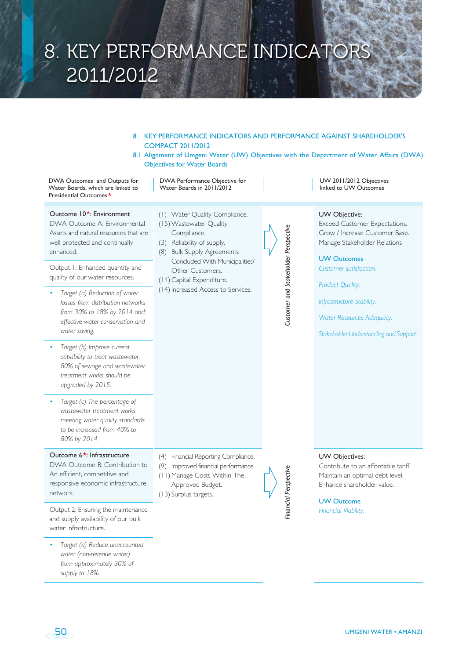## 8. KEY PERFORMANCE INDICATORS 2011/2012

- 8 . KEY PERFORMANCE INDICATORS AND PERFORMANCE AGAINST SHAREHOLDER'S COMPACT 2011/2012
- 8.1 Alignment of Umgeni Water (UW) Objectives with the Department of Water Affairs (DWA) Objectives for Water Boards

DWA Outcomes and Outputs for Water Boards, which are linked to Presidential Outcomes

DWA Performance Objective for Water Boards in 2011/2012

(1) Water Quality Compliance. (15) Wastewater Quality Compliance. (3) Reliability of supply. (8) Bulk Supply Agreements

Other Customers. (14) Capital Expenditure. (14) Increased Access to Services.

Concluded With Municipalities/

Outcome  $10^*$  Environment

DWA Outcome A: Environmental Assets and natural resources that are well protected and continually enhanced.

Output 1: Enhanced quantity and quality of our water resources.

- *Target (a) Reduction of water losses from distribution networks from 30% to 18% by 2014 and; effective water conservation and water saving.*
- *Target (b) Improve current capability to treat wastewater, 80% of sewage and wastewater treatment works should be upgraded by 2015.*
- *Target (c) The percentage of wastewater treatment works meeting water quality standards to be increased from 40% to 80% by 2014.*

#### Outcome  $6*$ : Infrastructure

DWA Outcome B: Contribution to An efficient, competitive and responsive economic infrastructure network.

Output 2: Ensuring the maintenance and supply availability of our bulk water infrastructure.

• *Target (a) Reduce unaccounted water (non-revenue water) from approximately 30% of supply to 18%*

- (4) Financial Reporting Compliance.
- (9) Improved financial performance.
- (11) Manage Costs Within The
- (13) Surplus targets.

Customer and Stakeholder Perspective *Customer and Stakeholder Perspective*

- 
- Approved Budget.

# *Financial Perspective*inancial Perspective

UW 2011/2012 Objectives linked to UW Outcomes

#### UW Objective:

Exceed Customer Expectations. Grow / Increase Customer Base. Manage Stakeholder Relations

UW Outcomes *Customer satisfaction.*

*Product Quality.*

*Infrastructure Stability.*

*Water Resources Adequacy.*

*Stakeholder Understanding and Support.*

#### UW Objectives:

Contribute to an affordable tariff. Maintain an optimal debt level. Enhance shareholder value.

UW Outcome *Financial Viability.*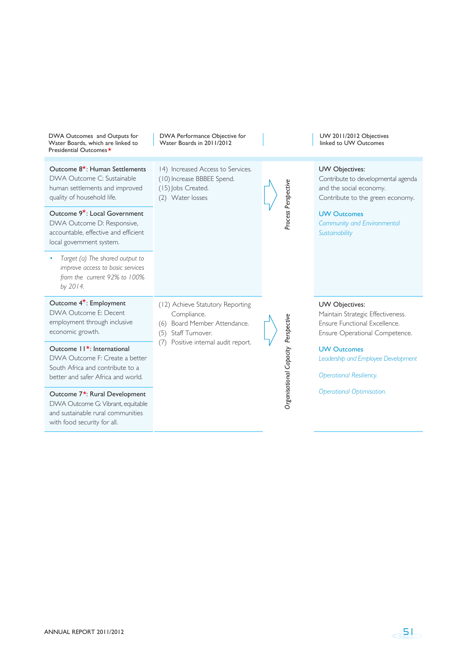| DWA Outcomes and Outputs for<br>Water Boards, which are linked to<br>Presidential Outcomes ★                                                                                                                                                                                            | DWA Performance Objective for<br>Water Boards in 2011/2012                                                   |  |                                     | UW 2011/2012 Objectives<br>linked to UW Outcomes                                                                                                                                           |
|-----------------------------------------------------------------------------------------------------------------------------------------------------------------------------------------------------------------------------------------------------------------------------------------|--------------------------------------------------------------------------------------------------------------|--|-------------------------------------|--------------------------------------------------------------------------------------------------------------------------------------------------------------------------------------------|
| Outcome 8 <sup>*</sup> : Human Settlements<br>DWA Outcome C: Sustainable<br>human settlements and improved<br>quality of household life.<br>Outcome 9 <sup>*</sup> : Local Government<br>DWA Outcome D: Responsive,<br>accountable, effective and efficient<br>local government system. | 14) Increased Access to Services.<br>(10) Increase BBBEE Spend.<br>(15) Jobs Created.<br>(2) Water losses    |  | Process Perspective                 | UW Objectives:<br>Contribute to developmental agenda<br>and the social economy.<br>Contribute to the green economy.<br><b>UW Outcomes</b><br>Community and Environmental<br>Sustainability |
| Target (a) The shared output to<br>improve access to basic services<br>from the current 92% to 100%<br>by 2014.                                                                                                                                                                         |                                                                                                              |  |                                     |                                                                                                                                                                                            |
| Outcome $4^{\star}$ : Employment<br>DWA Outcome F: Decent<br>employment through inclusive<br>economic growth.                                                                                                                                                                           | (12) Achieve Statutory Reporting<br>Compliance.<br>Board Member Attendance.<br>(6)<br>Staff Turnover.<br>(5) |  |                                     | UW Objectives:<br>Maintain Strategic Effectiveness.<br>Ensure Functional Excellence.<br>Ensure Operational Competence.                                                                     |
| Outcome $11^{\star}$ : International<br>DWA Outcome F: Create a better<br>South Africa and contribute to a<br>better and safer Africa and world.                                                                                                                                        | Positive internal audit report.<br>(7)                                                                       |  | Organisational Capacity Perspective | <b>UW Outcomes</b><br>Leadership and Employee Development<br><b>Operational Resiliency.</b>                                                                                                |
| Outcome 7 <sup>*</sup> : Rural Development<br>DWA Outcome G: Vibrant, equitable<br>and sustainable rural communities<br>with food security for all.                                                                                                                                     |                                                                                                              |  |                                     | <b>Operational Optimisation.</b>                                                                                                                                                           |

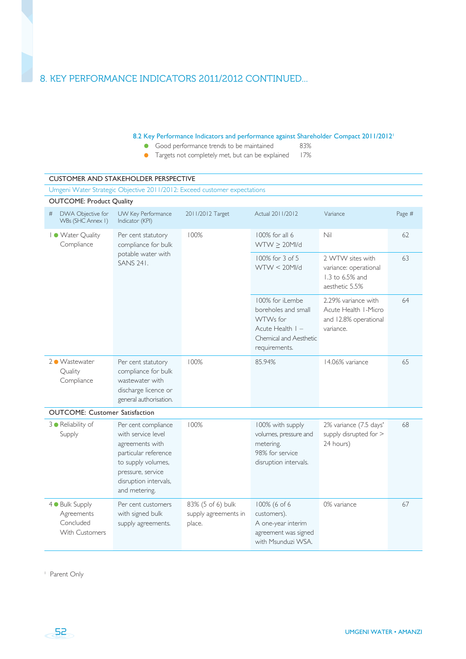#### 8.2 Key Performance Indicators and performance against Shareholder Compact 2011/2012<sup>1</sup>

- 
- Good performance trends to be maintained 83%<br>• Targets not completely met, but can be explained 17% **Targets not completely met, but can be explained**

|                                                                     |                                                                                                                                                                           | Umgeni Water Strategic Objective 2011/2012: Exceed customer expectations |                                                                                                                     |                                                                                   |        |
|---------------------------------------------------------------------|---------------------------------------------------------------------------------------------------------------------------------------------------------------------------|--------------------------------------------------------------------------|---------------------------------------------------------------------------------------------------------------------|-----------------------------------------------------------------------------------|--------|
| <b>OUTCOME: Product Quality</b>                                     |                                                                                                                                                                           |                                                                          |                                                                                                                     |                                                                                   |        |
| DWA Objective for<br>#<br>WBs (SHC Annex I)                         | UW Key Performance<br>Indicator (KPI)                                                                                                                                     | 2011/2012 Target                                                         | Actual 2011/2012                                                                                                    | Variance                                                                          | Page # |
| I . Water Quality<br>Compliance                                     | Per cent statutory<br>compliance for bulk                                                                                                                                 | 100%                                                                     | 100% for all 6<br>$WTW \geq 20$ MI/d                                                                                | Nil                                                                               | 62     |
|                                                                     | potable water with<br><b>SANS 241.</b>                                                                                                                                    |                                                                          | 100% for 3 of 5<br>$WTW < 20$ MI/d                                                                                  | 2 WTW sites with<br>variance: operational<br>1.3 to 6.5% and<br>aesthetic 5.5%    | 63     |
|                                                                     |                                                                                                                                                                           |                                                                          | 100% for iLembe<br>boreholes and small<br>WTWs for<br>Acute Health $I -$<br>Chemical and Aesthetic<br>requirements. | 2.29% variance with<br>Acute Health I-Micro<br>and 12.8% operational<br>variance. | 64     |
| 2 ● Wastewater<br>Quality<br>Compliance                             | Per cent statutory<br>compliance for bulk<br>wastewater with<br>discharge licence or<br>general authorisation.                                                            | 100%                                                                     | 85.94%                                                                                                              | 14.06% variance                                                                   | 65     |
| <b>OUTCOME: Customer Satisfaction</b>                               |                                                                                                                                                                           |                                                                          |                                                                                                                     |                                                                                   |        |
| 3 · Reliability of<br>Supply                                        | Per cent compliance<br>with service level<br>agreements with<br>particular reference<br>to supply volumes,<br>pressure, service<br>disruption intervals,<br>and metering. | 100%                                                                     | 100% with supply<br>volumes, pressure and<br>metering.<br>98% for service<br>disruption intervals.                  | 2% variance (7.5 days'<br>supply disrupted for ><br>24 hours)                     | 68     |
| 4 . Bulk Supply<br>Agreements<br>Concluded<br><b>With Customers</b> | Per cent customers<br>with signed bulk<br>supply agreements.                                                                                                              | 83% (5 of 6) bulk<br>supply agreements in<br>place.                      | 100% (6 of 6<br>customers).<br>A one-year interim<br>agreement was signed<br>with Msunduzi WSA.                     | 0% variance                                                                       | 67     |

1 Parent Only

UMGENI WATER • AMANZI

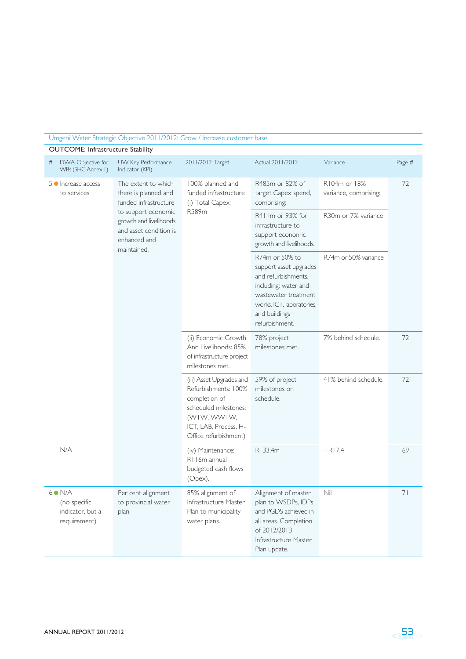## Umgeni Water Strategic Objective 2011/2012: Grow / Increase customer base

OUTCOME: Infrastructure Stability

| DWA Objective for<br>#<br>WBs (SHC Annex I)                 | UW Key Performance<br>Indicator (KPI)                                                                   | 2011/2012 Target                                                                                                                                            | Actual 2011/2012                                                                                                                                                                | Variance                              | Page # |
|-------------------------------------------------------------|---------------------------------------------------------------------------------------------------------|-------------------------------------------------------------------------------------------------------------------------------------------------------------|---------------------------------------------------------------------------------------------------------------------------------------------------------------------------------|---------------------------------------|--------|
| 5 • Increase access<br>to services                          | The extent to which<br>there is planned and<br>funded infrastructure                                    | 100% planned and<br>funded infrastructure<br>(i) Total Capex:                                                                                               | R485m or 82% of<br>target Capex spend,<br>comprising:                                                                                                                           | R104m or 18%<br>variance, comprising: | 72     |
|                                                             | to support economic<br>growth and livelihoods,<br>and asset condition is<br>enhanced and<br>maintained. | R589m                                                                                                                                                       | R411m or 93% for<br>infrastructure to<br>support economic<br>growth and livelihoods.                                                                                            | R30m or 7% variance                   |        |
|                                                             |                                                                                                         |                                                                                                                                                             | R74m or 50% to<br>support asset upgrades<br>and refurbishments,<br>including: water and<br>wastewater treatment<br>works, ICT, laboratories,<br>and buildings<br>refurbishment. | R74m or 50% variance                  |        |
|                                                             |                                                                                                         | (ii) Economic Growth<br>And Livelihoods: 85%<br>of infrastructure project<br>milestones met.                                                                | 78% project<br>milestones met.                                                                                                                                                  | 7% behind schedule.                   | 72     |
|                                                             |                                                                                                         | (iii) Asset Upgrades and<br>Refurbishments: 100%<br>completion of<br>scheduled milestones:<br>(WTW, WWTW,<br>ICT, LAB, Process, H-<br>Office refurbishment) | 59% of project<br>milestones on<br>schedule.                                                                                                                                    | 41% behind schedule.                  | 72     |
| N/A                                                         |                                                                                                         | (iv) Maintenance:<br>R116m annual<br>budgeted cash flows<br>(Opex).                                                                                         | R133.4m                                                                                                                                                                         | $+R17.4$                              | 69     |
| $6$ N/A<br>(no specific<br>indicator, but a<br>requirement) | Per cent alignment<br>to provincial water<br>plan.                                                      | 85% alignment of<br>Infrastructure Master<br>Plan to municipality<br>water plans.                                                                           | Alignment of master<br>plan to WSDPs, IDPs<br>and PGDS achieved in<br>all areas. Completion<br>of 2012/2013<br>Infrastructure Master<br>Plan update.                            | Nil                                   | 71     |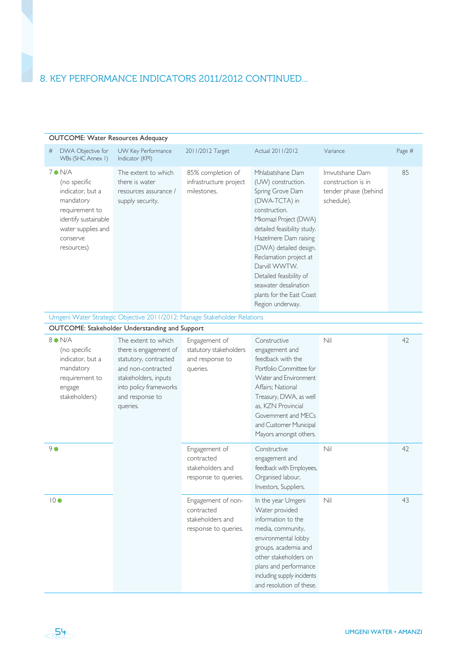| <b>OUTCOME: Water Resources Adequacy</b>                                                                                                                   |                                                                                                                                                                               |                                                                              |                                                                                                                                                                                                                                                                                                                                                         |                                                                            |        |
|------------------------------------------------------------------------------------------------------------------------------------------------------------|-------------------------------------------------------------------------------------------------------------------------------------------------------------------------------|------------------------------------------------------------------------------|---------------------------------------------------------------------------------------------------------------------------------------------------------------------------------------------------------------------------------------------------------------------------------------------------------------------------------------------------------|----------------------------------------------------------------------------|--------|
| DWA Objective for<br>#<br>WBs (SHC Annex I)                                                                                                                | UW Key Performance<br>Indicator (KPI)                                                                                                                                         | 2011/2012 Target                                                             | Actual 2011/2012                                                                                                                                                                                                                                                                                                                                        | Variance                                                                   | Page # |
| $7 \bullet N/A$<br>(no specific<br>indicator, but a<br>mandatory<br>requirement to<br>identify sustainable<br>water supplies and<br>conserve<br>resources) | The extent to which<br>there is water<br>resources assurance /<br>supply security.                                                                                            | 85% completion of<br>infrastructure project<br>milestones.                   | Mhlabatshane Dam<br>(UW) construction.<br>Spring Grove Dam<br>(DWA-TCTA) in<br>construction.<br>Mkomazi Project (DWA)<br>detailed feasibility study.<br>Hazelmere Dam raising<br>(DWA) detailed design.<br>Reclamation project at<br>Darvill WWTW.<br>Detailed feasibility of<br>seawater desalination<br>plants for the East Coast<br>Region underway. | Imvutshane Dam<br>construction is in<br>tender phase (behind<br>schedule). | 85     |
|                                                                                                                                                            | OUTCOME: Stakeholder Understanding and Support                                                                                                                                | Umgeni Water Strategic Objective 2011/2012: Manage Stakeholder Relations     |                                                                                                                                                                                                                                                                                                                                                         |                                                                            |        |
| $8$ N/A<br>(no specific<br>indicator, but a<br>mandatory<br>requirement to<br>engage<br>stakeholders)                                                      | The extent to which<br>there is engagement of<br>statutory, contracted<br>and non-contracted<br>stakeholders, inputs<br>into policy frameworks<br>and response to<br>queries. | Engagement of<br>statutory stakeholders<br>and response to<br>queries.       | Constructive<br>engagement and<br>feedback with the<br>Portfolio Committee for<br>Water and Environment<br>Affairs; National<br>Treasury, DWA, as well<br>as, KZN Provincial<br>Government and MECs<br>and Customer Municipal<br>Mayors amongst others.                                                                                                 | Nil                                                                        | 42     |
| 90                                                                                                                                                         |                                                                                                                                                                               | Engagement of<br>contracted<br>stakeholders and<br>response to queries.      | Constructive<br>engagement and<br>feedback with Employees,<br>Organised labour,<br>Investors, Suppliers.                                                                                                                                                                                                                                                | Nil                                                                        | 42     |
| 10 <sup>o</sup>                                                                                                                                            |                                                                                                                                                                               | Engagement of non-<br>contracted<br>stakeholders and<br>response to queries. | In the year Umgeni<br>Water provided<br>information to the<br>media, community,<br>environmental lobby<br>groups, academia and<br>other stakeholders on<br>plans and performance<br>including supply incidents<br>and resolution of these.                                                                                                              | Nil                                                                        | 43     |

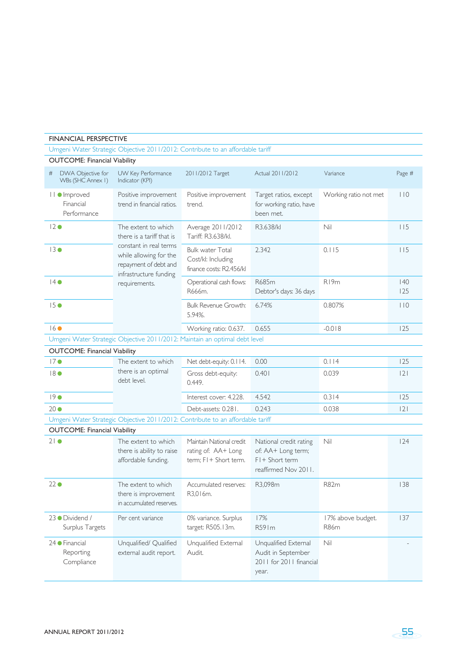| <b>FINANCIAL PERSPECTIVE</b>                     |                                                                                                                      |                                                                             |                                                                                           |                           |           |
|--------------------------------------------------|----------------------------------------------------------------------------------------------------------------------|-----------------------------------------------------------------------------|-------------------------------------------------------------------------------------------|---------------------------|-----------|
|                                                  | Umgeni Water Strategic Objective 2011/2012: Contribute to an affordable tariff                                       |                                                                             |                                                                                           |                           |           |
| <b>OUTCOME: Financial Viability</b>              |                                                                                                                      |                                                                             |                                                                                           |                           |           |
| #<br>DWA Objective for<br>WBs (SHC Annex I)      | UW Key Performance<br>Indicator (KPI)                                                                                | 2011/2012 Target                                                            | Actual 2011/2012                                                                          | Variance                  | Page #    |
| <b>II</b> ● Improved<br>Financial<br>Performance | Positive improvement<br>trend in financial ratios.                                                                   | Positive improvement<br>trend.                                              | Target ratios, except<br>for working ratio, have<br>been met.                             | Working ratio not met     | 110       |
| 12 <sup>o</sup>                                  | The extent to which<br>there is a tariff that is                                                                     | Average 2011/2012<br>Tariff: R3.638/kl.                                     | R3.638/kl                                                                                 | Nil                       | 115       |
| 13 <sup>o</sup>                                  | constant in real terms<br>while allowing for the<br>repayment of debt and<br>infrastructure funding<br>requirements. | <b>Bulk water Total</b><br>Cost/kl: Including<br>finance costs: R2.456/kl   | 2.342                                                                                     | 0.115                     | 115       |
| $14 \bullet$                                     |                                                                                                                      | Operational cash flows:<br>R666m.                                           | R685m<br>Debtor's days: 36 days                                                           | R <sub>19m</sub>          | 40<br>125 |
| $15 \bullet$                                     |                                                                                                                      | <b>Bulk Revenue Growth:</b><br>5.94%.                                       | 6.74%                                                                                     | 0.807%                    | 110       |
| 16                                               |                                                                                                                      | Working ratio: 0.637.                                                       | 0.655                                                                                     | $-0.018$                  | 125       |
|                                                  | Umgeni Water Strategic Objective 2011/2012: Maintain an optimal debt level                                           |                                                                             |                                                                                           |                           |           |
| <b>OUTCOME: Financial Viability</b>              |                                                                                                                      |                                                                             |                                                                                           |                           |           |
| 17 <sup>o</sup>                                  | The extent to which                                                                                                  | Net debt-equity: 0.114.                                                     | 0.00                                                                                      | 0.114                     | 125       |
| $18$ $\bullet$                                   | there is an optimal<br>debt level.                                                                                   | Gross debt-equity:<br>0.449.                                                | 0.401                                                                                     | 0.039                     | 2         |
| 190                                              |                                                                                                                      | Interest cover: 4.228.                                                      | 4.542                                                                                     | 0.314                     | 125       |
| $20\bullet$                                      |                                                                                                                      | Debt-assets: 0.281.                                                         | 0.243                                                                                     | 0.038                     | 2         |
|                                                  | Umgeni Water Strategic Objective 2011/2012: Contribute to an affordable tariff                                       |                                                                             |                                                                                           |                           |           |
| <b>OUTCOME: Financial Viability</b>              |                                                                                                                      |                                                                             |                                                                                           |                           |           |
| $21\bullet$                                      | The extent to which<br>there is ability to raise<br>affordable funding.                                              | Maintain National credit<br>rating of: AA+ Long<br>$term: FI + Short term.$ | National credit rating<br>of: AA+ Long term;<br>$FI + Short term$<br>reaffirmed Nov 2011. | Nil                       | 124       |
| 22 <sub>o</sub>                                  | The extent to which<br>there is improvement<br>in accumulated reserves.                                              | Accumulated reserves:<br>R3,016m.                                           | R3,098m                                                                                   | <b>R82m</b>               | 138       |
| 23 O Dividend /<br>Surplus Targets               | Per cent variance                                                                                                    | 0% variance. Surplus<br>target: R505.13m.                                   | 17%<br>R591m                                                                              | 17% above budget.<br>R86m | 137       |
| 24 Financial<br>Reporting<br>Compliance          | Unqualified/ Qualified<br>external audit report.                                                                     | Unqualified External<br>Audit.                                              | Unqualified External<br>Audit in September<br>2011 for 2011 financial<br>year.            | Nil                       |           |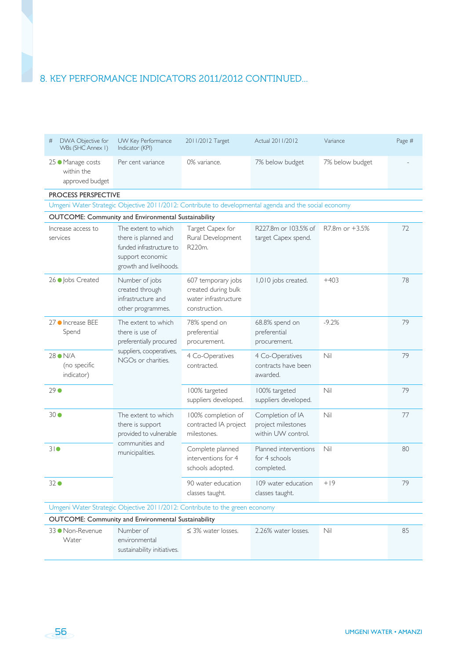| DWA Objective for<br>#<br>WBs (SHC Annex I)        | UW Key Performance<br>Indicator (KPI)                                                                                  | 2011/2012 Target                                                                   | Actual 2011/2012                                             | Variance        | Page # |
|----------------------------------------------------|------------------------------------------------------------------------------------------------------------------------|------------------------------------------------------------------------------------|--------------------------------------------------------------|-----------------|--------|
| 25 • Manage costs<br>within the<br>approved budget | Per cent variance                                                                                                      | 0% variance.                                                                       | 7% below budget                                              | 7% below budget |        |
| <b>PROCESS PERSPECTIVE</b>                         |                                                                                                                        |                                                                                    |                                                              |                 |        |
|                                                    | Umgeni Water Strategic Objective 2011/2012: Contribute to developmental agenda and the social economy                  |                                                                                    |                                                              |                 |        |
|                                                    | OUTCOME: Community and Environmental Sustainability                                                                    |                                                                                    |                                                              |                 |        |
| Increase access to<br>services                     | The extent to which<br>there is planned and<br>funded infrastructure to<br>support economic<br>growth and livelihoods. | Target Capex for<br>Rural Development<br>R220m.                                    | R227.8m or 103.5% of<br>target Capex spend.                  | R7.8m or +3.5%  | 72     |
| 26 ● Jobs Created                                  | Number of jobs<br>created through<br>infrastructure and<br>other programmes.                                           | 607 temporary jobs<br>created during bulk<br>water infrastructure<br>construction. | 1,010 jobs created.                                          | $+403$          | 78     |
| 27 ● Increase BEE<br>Spend                         | The extent to which<br>there is use of<br>preferentially procured                                                      | 78% spend on<br>preferential<br>procurement.                                       | 68.8% spend on<br>preferential<br>procurement.               | $-9.2%$         | 79     |
| 28 ON/A<br>(no specific<br>indicator)              | suppliers, cooperatives,<br>NGOs or charities.                                                                         | 4 Co-Operatives<br>contracted.                                                     | 4 Co-Operatives<br>contracts have been<br>awarded.           | Nil             | 79     |
| $29$ $\bullet$                                     |                                                                                                                        | 100% targeted<br>suppliers developed.                                              | 100% targeted<br>suppliers developed.                        | Nil             | 79     |
| 30 <sup>o</sup>                                    | The extent to which<br>there is support<br>provided to vulnerable                                                      | 100% completion of<br>contracted IA project<br>milestones.                         | Completion of IA<br>project milestones<br>within UW control. | Nil             | 77     |
| 310                                                | communities and<br>municipalities.                                                                                     | Complete planned<br>interventions for 4<br>schools adopted.                        | Planned interventions<br>for 4 schools<br>completed.         | Nil             | 80     |
| 32 <sup>o</sup>                                    |                                                                                                                        | 90 water education<br>classes taught.                                              | 109 water education<br>classes taught.                       | $+19$           | 79     |
|                                                    | Umgeni Water Strategic Objective 2011/2012: Contribute to the green economy                                            |                                                                                    |                                                              |                 |        |
|                                                    | OUTCOME: Community and Environmental Sustainability                                                                    |                                                                                    |                                                              |                 |        |
| 33 Non-Revenue<br>Water                            | Number of<br>environmental<br>sustainability initiatives.                                                              | $\leq$ 3% water losses.                                                            | 2.26% water losses.                                          | Nil             | 85     |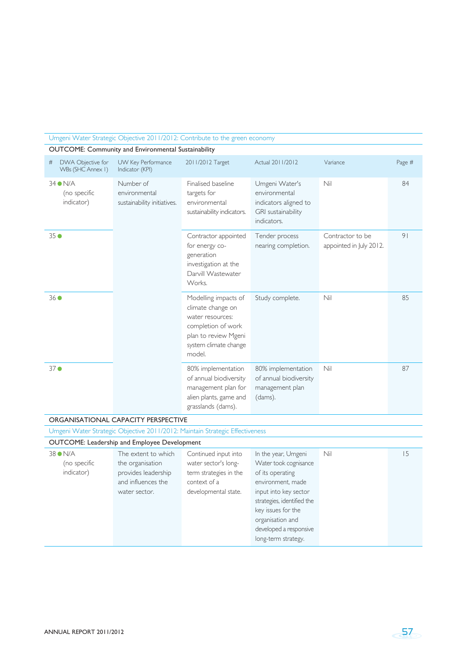#### Umgeni Water Strategic Objective 2011/2012: Contribute to the green economy

OUTCOME: Community and Environmental Sustainability

| DWA Objective for<br>#<br>WBs (SHC Annex I) | UW Key Performance<br>Indicator (KPI)                     | 2011/2012 Target                                                                                                                               | Actual 2011/2012                                                                              | Variance                                    | Page #         |  |  |
|---------------------------------------------|-----------------------------------------------------------|------------------------------------------------------------------------------------------------------------------------------------------------|-----------------------------------------------------------------------------------------------|---------------------------------------------|----------------|--|--|
| $34$ $N/A$<br>(no specific<br>indicator)    | Number of<br>environmental<br>sustainability initiatives. | Finalised baseline<br>targets for<br>environmental<br>sustainability indicators.                                                               | Umgeni Water's<br>environmental<br>indicators aligned to<br>GRI sustainability<br>indicators. | Nil                                         | 84             |  |  |
| 350                                         |                                                           | Contractor appointed<br>for energy co-<br>generation<br>investigation at the<br>Darvill Wastewater<br>Works.                                   | Tender process<br>nearing completion.                                                         | Contractor to be<br>appointed in July 2012. | 9 <sub>1</sub> |  |  |
| 360                                         |                                                           | Modelling impacts of<br>climate change on<br>water resources:<br>completion of work<br>plan to review Mgeni<br>system climate change<br>model. | Study complete.                                                                               | Nil                                         | 85             |  |  |
| 37 <sup>o</sup>                             |                                                           | 80% implementation<br>of annual biodiversity<br>management plan for<br>alien plants, game and<br>grasslands (dams).                            | 80% implementation<br>of annual biodiversity<br>management plan<br>(dams).                    | Nil                                         | 87             |  |  |
| ORGANISATIONAL CAPACITY PERSPECTIVE         |                                                           |                                                                                                                                                |                                                                                               |                                             |                |  |  |

Umgeni Water Strategic Objective 2011/2012: Maintain Strategic Effectiveness

### OUTCOME: Leadership and Employee Development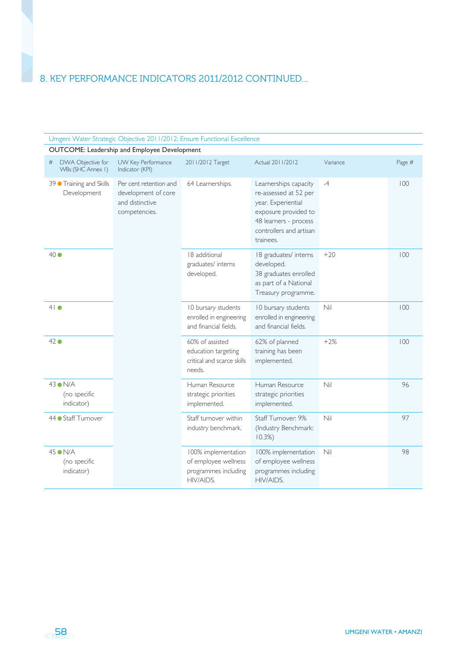| Umgeni Water Strategic Objective 2011/2012: Ensure Functional Excellence |                                                                                   |                                                                                  |                                                                                                                                                               |          |        |  |
|--------------------------------------------------------------------------|-----------------------------------------------------------------------------------|----------------------------------------------------------------------------------|---------------------------------------------------------------------------------------------------------------------------------------------------------------|----------|--------|--|
|                                                                          | OUTCOME: Leadership and Employee Development                                      |                                                                                  |                                                                                                                                                               |          |        |  |
| DWA Objective for<br>#<br>WBs (SHC Annex I)                              | UW Key Performance<br>Indicator (KPI)                                             | 2011/2012 Target                                                                 | Actual 2011/2012                                                                                                                                              | Variance | Page # |  |
| 39 Training and Skills<br>Development                                    | Per cent retention and<br>development of core<br>and distinctive<br>competencies. | 64 Learnerships.                                                                 | Learnerships capacity<br>re-assessed at 52 per<br>year. Experiential<br>exposure provided to<br>48 learners - process<br>controllers and artisan<br>trainees. | $-4$     | 100    |  |
| $40\bullet$                                                              |                                                                                   | 18 additional<br>graduates/ interns<br>developed.                                | 18 graduates/ interns<br>developed.<br>38 graduates enrolled<br>as part of a National<br>Treasury programme.                                                  | $+20$    | 100    |  |
| $41$ $\bullet$                                                           |                                                                                   | 10 bursary students<br>enrolled in engineering<br>and financial fields.          | 10 bursary students<br>enrolled in engineering<br>and financial fields.                                                                                       | Nil      | 100    |  |
| 42 ●                                                                     |                                                                                   | 60% of assisted<br>education targeting<br>critical and scarce skills<br>needs.   | 62% of planned<br>training has been<br>implemented.                                                                                                           | $+2%$    | 100    |  |
| 43 ● N/A<br>(no specific<br>indicator)                                   |                                                                                   | Human Resource<br>strategic priorities<br>implemented.                           | Human Resource<br>strategic priorities<br>implemented.                                                                                                        | Nil      | 96     |  |
| 44 Staff Turnover                                                        |                                                                                   | Staff turnover within<br>industry benchmark.                                     | Staff Turnover: 9%<br>(Industry Benchmark:<br>10.3%                                                                                                           | Nil      | 97     |  |
| $45$ $N/A$<br>(no specific<br>indicator)                                 |                                                                                   | 100% implementation<br>of employee wellness<br>programmes including<br>HIV/AIDS. | 100% implementation<br>of employee wellness<br>programmes including<br>HIV/AIDS.                                                                              | Nil      | 98     |  |

58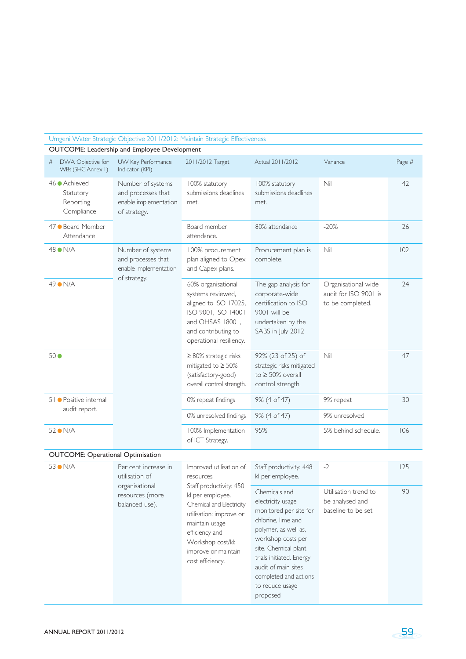| Umgeni Water Strategic Objective 2011/2012: Maintain Strategic Effectiveness |                                                                                  |                                                                                                                                                                                                                                                 |                                                                                                                                                                                                                                                                     |                                                                  |        |  |  |
|------------------------------------------------------------------------------|----------------------------------------------------------------------------------|-------------------------------------------------------------------------------------------------------------------------------------------------------------------------------------------------------------------------------------------------|---------------------------------------------------------------------------------------------------------------------------------------------------------------------------------------------------------------------------------------------------------------------|------------------------------------------------------------------|--------|--|--|
|                                                                              | OUTCOME: Leadership and Employee Development                                     |                                                                                                                                                                                                                                                 |                                                                                                                                                                                                                                                                     |                                                                  |        |  |  |
| DWA Objective for<br>#<br>WBs (SHC Annex I)                                  | UW Key Performance<br>Indicator (KPI)                                            | 2011/2012 Target                                                                                                                                                                                                                                | Actual 2011/2012                                                                                                                                                                                                                                                    | Variance                                                         | Page # |  |  |
| 46 ● Achieved<br>Statutory<br>Reporting<br>Compliance                        | Number of systems<br>and processes that<br>enable implementation<br>of strategy. | 100% statutory<br>submissions deadlines<br>met.                                                                                                                                                                                                 | 100% statutory<br>submissions deadlines<br>met.                                                                                                                                                                                                                     | Nil                                                              | 42     |  |  |
| 47 · Board Member<br>Attendance                                              |                                                                                  | Board member<br>attendance.                                                                                                                                                                                                                     | 80% attendance                                                                                                                                                                                                                                                      | $-20%$                                                           | 26     |  |  |
| 48 ON/A                                                                      | Number of systems<br>and processes that<br>enable implementation<br>of strategy. | 100% procurement<br>plan aligned to Opex<br>and Capex plans.                                                                                                                                                                                    | Procurement plan is<br>complete.                                                                                                                                                                                                                                    | Nil                                                              | 102    |  |  |
| 49 ● N/A                                                                     |                                                                                  | 60% organisational<br>systems reviewed,<br>aligned to ISO 17025,<br>ISO 9001, ISO 14001<br>and OHSAS 18001,<br>and contributing to<br>operational resiliency.                                                                                   | The gap analysis for<br>corporate-wide<br>certification to ISO<br>9001 will be<br>undertaken by the<br>SABS in July 2012                                                                                                                                            | Organisational-wide<br>audit for ISO 9001 is<br>to be completed. | 24     |  |  |
| 50 <sup>o</sup>                                                              |                                                                                  | $\geq 80\%$ strategic risks<br>mitigated to $\geq 50\%$<br>(satisfactory-good)<br>overall control strength.                                                                                                                                     | 92% (23 of 25) of<br>strategic risks mitigated<br>to $\geq$ 50% overall<br>control strength.                                                                                                                                                                        | Nil                                                              | 47     |  |  |
| 51 · Positive internal                                                       | audit report.                                                                    | 0% repeat findings                                                                                                                                                                                                                              | 9% (4 of 47)                                                                                                                                                                                                                                                        | 9% repeat                                                        | 30     |  |  |
|                                                                              |                                                                                  | 0% unresolved findings                                                                                                                                                                                                                          | 9% (4 of 47)                                                                                                                                                                                                                                                        | 9% unresolved                                                    |        |  |  |
| 52 ON/A                                                                      |                                                                                  | 100% Implementation<br>of ICT Strategy.                                                                                                                                                                                                         | 95%                                                                                                                                                                                                                                                                 | 5% behind schedule.                                              | 106    |  |  |
| <b>OUTCOME: Operational Optimisation</b>                                     |                                                                                  |                                                                                                                                                                                                                                                 |                                                                                                                                                                                                                                                                     |                                                                  |        |  |  |
| 53 ON/A                                                                      | Per cent increase in<br>utilisation of                                           | Improved utilisation of<br>resources.<br>Staff productivity: 450<br>kl per employee.<br>Chemical and Electricity<br>utilisation: improve or<br>maintain usage<br>efficiency and<br>Workshop cost/kl:<br>improve or maintain<br>cost efficiency. | Staff productivity: 448<br>kl per employee.                                                                                                                                                                                                                         | $-2$                                                             | 125    |  |  |
|                                                                              | organisational<br>resources (more<br>balanced use).                              |                                                                                                                                                                                                                                                 | Chemicals and<br>electricity usage<br>monitored per site for<br>chlorine, lime and<br>polymer, as well as,<br>workshop costs per<br>site. Chemical plant<br>trials initiated. Energy<br>audit of main sites<br>completed and actions<br>to reduce usage<br>proposed | Utilisation trend to<br>be analysed and<br>baseline to be set.   | 90     |  |  |